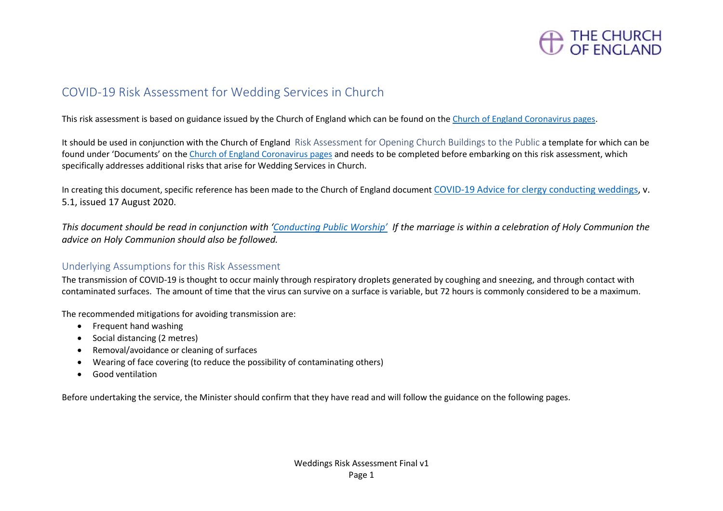

# COVID-19 Risk Assessment for Wedding Services in Church

This risk assessment is based on guidance issued by the Church of England which can be found on the [Church of England Coronavirus pages.](https://www.churchofengland.org/more/media-centre/coronavirus-covid-19-guidance-churches)

It should be used in conjunction with the Church of England Risk Assessment for Opening Church Buildings to the Public a template for which can be found under 'Documents' on th[e Church of England Coronavirus pages](https://www.churchofengland.org/more/media-centre/coronavirus-covid-19-guidance-churches) and needs to be completed before embarking on this risk assessment, which specifically addresses additional risks that arise for Wedding Services in Church.

In creating this document, specific reference has been made to the Church of England document [COVID-19 Advice for clergy conducting weddings,](https://www.churchofengland.org/sites/default/files/2020-08/COVID%2019%20advice%20for%20Clergy%20Conducting%20Weddings%20v5.1.pdf) v. 5.1, issued 17 August 2020.

*This document should be read in conjunction with ['Conducting Public Worship'](https://www.churchofengland.org/more/media-centre/coronavirus-covid-19-guidance-churches#documents) If the marriage is within a celebration of Holy Communion the advice on Holy Communion should also be followed.*

## Underlying Assumptions for this Risk Assessment

The transmission of COVID-19 is thought to occur mainly through respiratory droplets generated by coughing and sneezing, and through contact with contaminated surfaces. The amount of time that the virus can survive on a surface is variable, but 72 hours is commonly considered to be a maximum.

The recommended mitigations for avoiding transmission are:

- Frequent hand washing
- Social distancing (2 metres)
- Removal/avoidance or cleaning of surfaces
- Wearing of face covering (to reduce the possibility of contaminating others)
- Good ventilation

Before undertaking the service, the Minister should confirm that they have read and will follow the guidance on the following pages.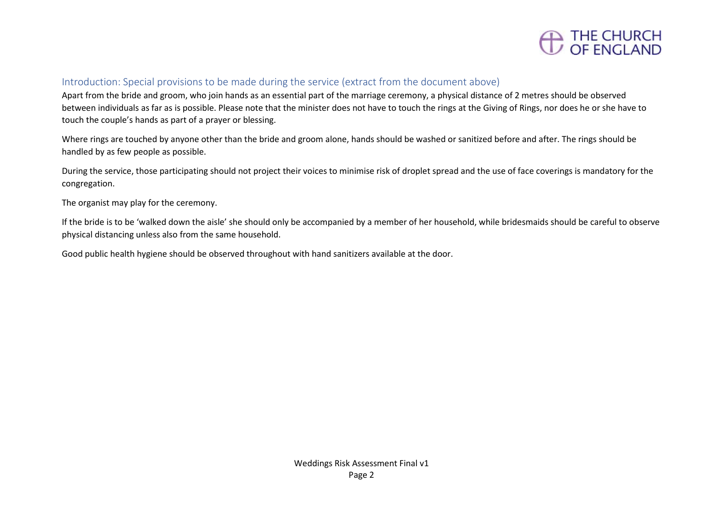

#### Introduction: Special provisions to be made during the service (extract from the document above)

Apart from the bride and groom, who join hands as an essential part of the marriage ceremony, a physical distance of 2 metres should be observed between individuals as far as is possible. Please note that the minister does not have to touch the rings at the Giving of Rings, nor does he or she have to touch the couple's hands as part of a prayer or blessing.

Where rings are touched by anyone other than the bride and groom alone, hands should be washed or sanitized before and after. The rings should be handled by as few people as possible.

During the service, those participating should not project their voices to minimise risk of droplet spread and the use of face coverings is mandatory for the congregation.

The organist may play for the ceremony.

If the bride is to be 'walked down the aisle' she should only be accompanied by a member of her household, while bridesmaids should be careful to observe physical distancing unless also from the same household.

Good public health hygiene should be observed throughout with hand sanitizers available at the door.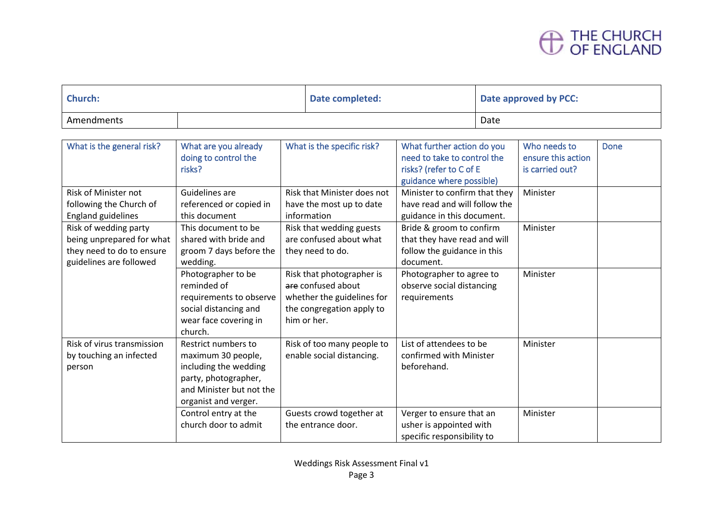# THE CHURCH<br>OF ENGLAND

| <b>Church:</b> |  | Date completed: | Date approved by PCC: |
|----------------|--|-----------------|-----------------------|
| Amendments     |  |                 | Date                  |

| What is the general risk?                                                                                  | What are you already<br>doing to control the<br>risks?                                                                                         | What is the specific risk?                                                                                                | What further action do you<br>need to take to control the<br>risks? (refer to C of E<br>guidance where possible) | Who needs to<br>ensure this action<br>is carried out? | Done |
|------------------------------------------------------------------------------------------------------------|------------------------------------------------------------------------------------------------------------------------------------------------|---------------------------------------------------------------------------------------------------------------------------|------------------------------------------------------------------------------------------------------------------|-------------------------------------------------------|------|
| <b>Risk of Minister not</b><br>following the Church of<br><b>England guidelines</b>                        | Guidelines are<br>referenced or copied in<br>this document                                                                                     | <b>Risk that Minister does not</b><br>have the most up to date<br>information                                             | Minister to confirm that they<br>have read and will follow the<br>guidance in this document.                     | Minister                                              |      |
| Risk of wedding party<br>being unprepared for what<br>they need to do to ensure<br>guidelines are followed | This document to be<br>shared with bride and<br>groom 7 days before the<br>wedding.                                                            | Risk that wedding guests<br>are confused about what<br>they need to do.                                                   | Bride & groom to confirm<br>that they have read and will<br>follow the guidance in this<br>document.             | Minister                                              |      |
|                                                                                                            | Photographer to be<br>reminded of<br>requirements to observe<br>social distancing and<br>wear face covering in<br>church.                      | Risk that photographer is<br>are confused about<br>whether the guidelines for<br>the congregation apply to<br>him or her. | Photographer to agree to<br>observe social distancing<br>requirements                                            | Minister                                              |      |
| Risk of virus transmission<br>by touching an infected<br>person                                            | Restrict numbers to<br>maximum 30 people,<br>including the wedding<br>party, photographer,<br>and Minister but not the<br>organist and verger. | Risk of too many people to<br>enable social distancing.                                                                   | List of attendees to be<br>confirmed with Minister<br>beforehand.                                                | Minister                                              |      |
|                                                                                                            | Control entry at the<br>church door to admit                                                                                                   | Guests crowd together at<br>the entrance door.                                                                            | Verger to ensure that an<br>usher is appointed with<br>specific responsibility to                                | Minister                                              |      |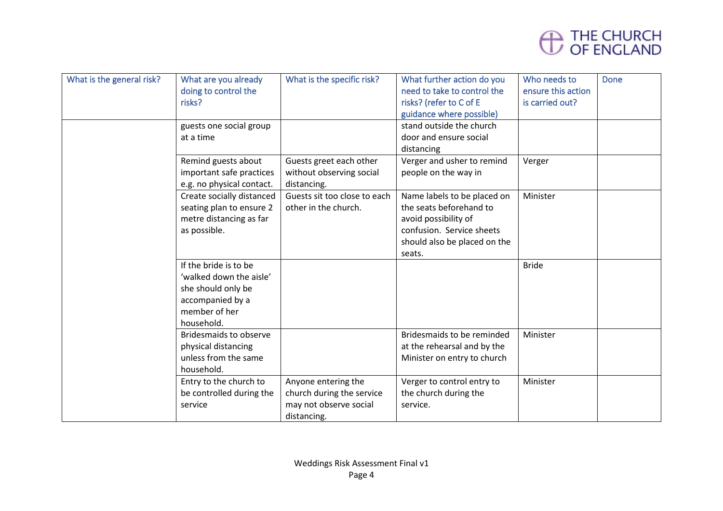

| What is the general risk? | What are you already<br>doing to control the<br>risks?<br>guests one social group<br>at a time                            | What is the specific risk?                                                                | What further action do you<br>need to take to control the<br>risks? (refer to C of E<br>guidance where possible)<br>stand outside the church<br>door and ensure social | Who needs to<br>ensure this action<br>is carried out? | <b>Done</b> |
|---------------------------|---------------------------------------------------------------------------------------------------------------------------|-------------------------------------------------------------------------------------------|------------------------------------------------------------------------------------------------------------------------------------------------------------------------|-------------------------------------------------------|-------------|
|                           | Remind guests about                                                                                                       | Guests greet each other                                                                   | distancing<br>Verger and usher to remind                                                                                                                               | Verger                                                |             |
|                           | important safe practices<br>e.g. no physical contact.                                                                     | without observing social<br>distancing.                                                   | people on the way in                                                                                                                                                   |                                                       |             |
|                           | Create socially distanced<br>seating plan to ensure 2<br>metre distancing as far<br>as possible.                          | Guests sit too close to each<br>other in the church.                                      | Name labels to be placed on<br>the seats beforehand to<br>avoid possibility of<br>confusion. Service sheets<br>should also be placed on the<br>seats.                  | Minister                                              |             |
|                           | If the bride is to be<br>'walked down the aisle'<br>she should only be<br>accompanied by a<br>member of her<br>household. |                                                                                           |                                                                                                                                                                        | <b>Bride</b>                                          |             |
|                           | <b>Bridesmaids to observe</b><br>physical distancing<br>unless from the same<br>household.                                |                                                                                           | Bridesmaids to be reminded<br>at the rehearsal and by the<br>Minister on entry to church                                                                               | Minister                                              |             |
|                           | Entry to the church to<br>be controlled during the<br>service                                                             | Anyone entering the<br>church during the service<br>may not observe social<br>distancing. | Verger to control entry to<br>the church during the<br>service.                                                                                                        | Minister                                              |             |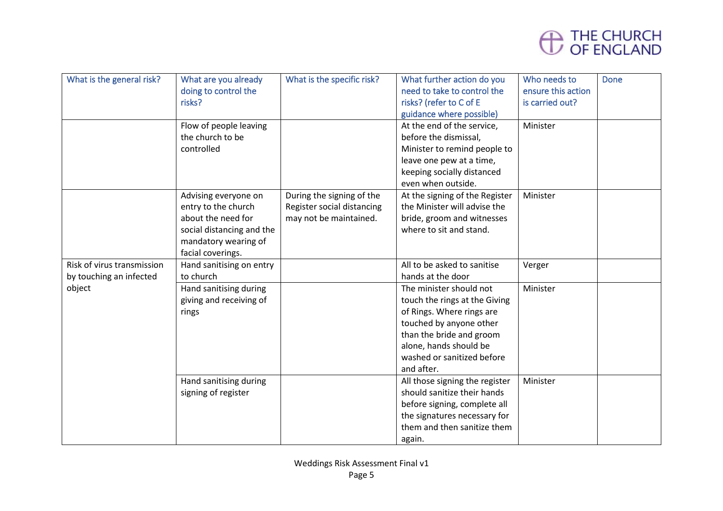

| What is the general risk?  | What are you already<br>doing to control the<br>risks? | What is the specific risk? | What further action do you<br>need to take to control the<br>risks? (refer to C of E | Who needs to<br>ensure this action<br>is carried out? | <b>Done</b> |
|----------------------------|--------------------------------------------------------|----------------------------|--------------------------------------------------------------------------------------|-------------------------------------------------------|-------------|
|                            |                                                        |                            | guidance where possible)                                                             |                                                       |             |
|                            | Flow of people leaving                                 |                            | At the end of the service,                                                           | Minister                                              |             |
|                            | the church to be                                       |                            | before the dismissal,                                                                |                                                       |             |
|                            | controlled                                             |                            | Minister to remind people to                                                         |                                                       |             |
|                            |                                                        |                            | leave one pew at a time,                                                             |                                                       |             |
|                            |                                                        |                            | keeping socially distanced                                                           |                                                       |             |
|                            |                                                        |                            | even when outside.                                                                   |                                                       |             |
|                            | Advising everyone on                                   | During the signing of the  | At the signing of the Register                                                       | Minister                                              |             |
|                            | entry to the church                                    | Register social distancing | the Minister will advise the                                                         |                                                       |             |
|                            | about the need for                                     | may not be maintained.     | bride, groom and witnesses                                                           |                                                       |             |
|                            | social distancing and the                              |                            | where to sit and stand.                                                              |                                                       |             |
|                            | mandatory wearing of                                   |                            |                                                                                      |                                                       |             |
|                            | facial coverings.                                      |                            |                                                                                      |                                                       |             |
| Risk of virus transmission | Hand sanitising on entry                               |                            | All to be asked to sanitise                                                          | Verger                                                |             |
| by touching an infected    | to church                                              |                            | hands at the door                                                                    |                                                       |             |
| object                     | Hand sanitising during                                 |                            | The minister should not                                                              | Minister                                              |             |
|                            | giving and receiving of                                |                            | touch the rings at the Giving                                                        |                                                       |             |
|                            | rings                                                  |                            | of Rings. Where rings are                                                            |                                                       |             |
|                            |                                                        |                            | touched by anyone other                                                              |                                                       |             |
|                            |                                                        |                            | than the bride and groom                                                             |                                                       |             |
|                            |                                                        |                            | alone, hands should be                                                               |                                                       |             |
|                            |                                                        |                            | washed or sanitized before                                                           |                                                       |             |
|                            |                                                        |                            | and after.                                                                           |                                                       |             |
|                            | Hand sanitising during                                 |                            | All those signing the register                                                       | Minister                                              |             |
|                            | signing of register                                    |                            | should sanitize their hands                                                          |                                                       |             |
|                            |                                                        |                            | before signing, complete all                                                         |                                                       |             |
|                            |                                                        |                            | the signatures necessary for<br>them and then sanitize them                          |                                                       |             |
|                            |                                                        |                            |                                                                                      |                                                       |             |
|                            |                                                        |                            | again.                                                                               |                                                       |             |